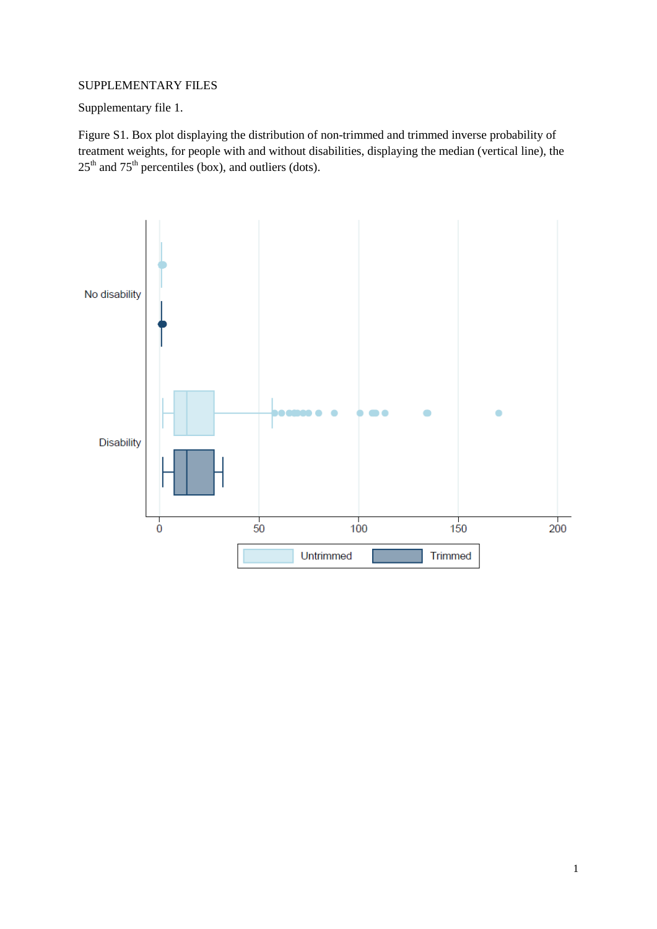### SUPPLEMENTARY FILES

Supplementary file 1.

Figure S1. Box plot displaying the distribution of non-trimmed and trimmed inverse probability of treatment weights, for people with and without disabilities, displaying the median (vertical line), the  $25<sup>th</sup>$  and  $75<sup>th</sup>$  percentiles (box), and outliers (dots).

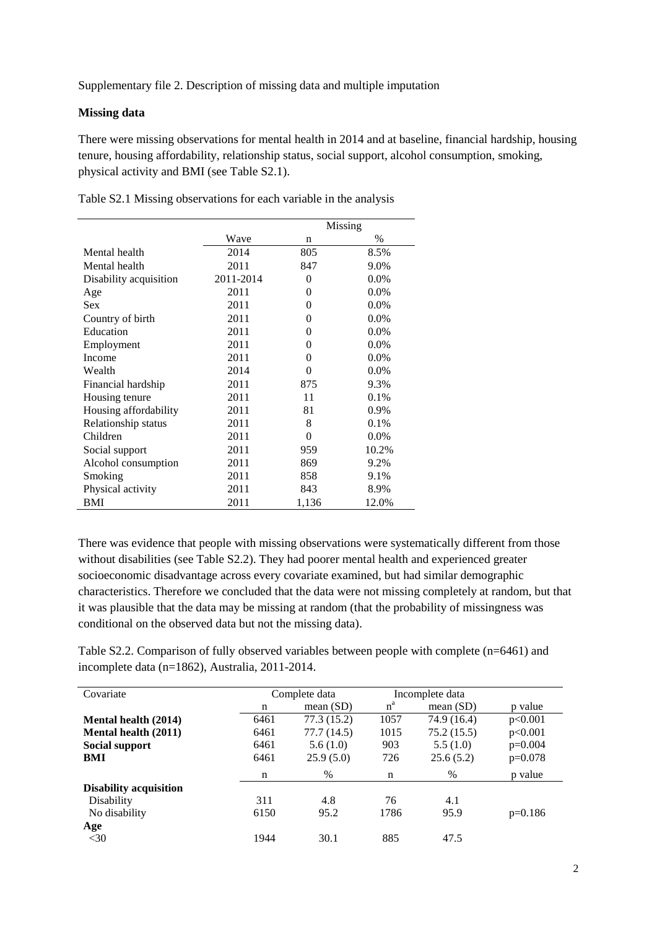Supplementary file 2. Description of missing data and multiple imputation

#### **Missing data**

There were missing observations for mental health in 2014 and at baseline, financial hardship, housing tenure, housing affordability, relationship status, social support, alcohol consumption, smoking, physical activity and BMI (see Table S2.1).

|                        |           | Missing  |               |  |  |
|------------------------|-----------|----------|---------------|--|--|
|                        | Wave      | n        | $\frac{0}{0}$ |  |  |
| Mental health          | 2014      | 805      | 8.5%          |  |  |
| Mental health          | 2011      | 847      | 9.0%          |  |  |
| Disability acquisition | 2011-2014 | $\theta$ | $0.0\%$       |  |  |
| Age                    | 2011      | $\Omega$ | $0.0\%$       |  |  |
| <b>Sex</b>             | 2011      | 0        | $0.0\%$       |  |  |
| Country of birth       | 2011      | 0        | $0.0\%$       |  |  |
| Education              | 2011      | $\Omega$ | $0.0\%$       |  |  |
| Employment             | 2011      | 0        | $0.0\%$       |  |  |
| Income                 | 2011      | 0        | $0.0\%$       |  |  |
| Wealth                 | 2014      | 0        | 0.0%          |  |  |
| Financial hardship     | 2011      | 875      | 9.3%          |  |  |
| Housing tenure         | 2011      | 11       | 0.1%          |  |  |
| Housing affordability  | 2011      | 81       | 0.9%          |  |  |
| Relationship status    | 2011      | 8        | 0.1%          |  |  |
| Children               | 2011      | 0        | $0.0\%$       |  |  |
| Social support         | 2011      | 959      | 10.2%         |  |  |
| Alcohol consumption    | 2011      | 869      | 9.2%          |  |  |
| Smoking                | 2011      | 858      | 9.1%          |  |  |
| Physical activity      | 2011      | 843      | 8.9%          |  |  |
| BMI                    | 2011      | 1,136    | 12.0%         |  |  |

Table S2.1 Missing observations for each variable in the analysis

There was evidence that people with missing observations were systematically different from those without disabilities (see Table S2.2). They had poorer mental health and experienced greater socioeconomic disadvantage across every covariate examined, but had similar demographic characteristics. Therefore we concluded that the data were not missing completely at random, but that it was plausible that the data may be missing at random (that the probability of missingness was conditional on the observed data but not the missing data).

Table S2.2. Comparison of fully observed variables between people with complete (n=6461) and incomplete data (n=1862), Australia, 2011-2014.

| Covariate                     | Complete data |             | Incomplete data |             |           |
|-------------------------------|---------------|-------------|-----------------|-------------|-----------|
|                               | n             | mean $(SD)$ | $n^a$           | mean $(SD)$ | p value   |
| Mental health (2014)          | 6461          | 77.3 (15.2) | 1057            | 74.9 (16.4) | p<0.001   |
| <b>Mental health (2011)</b>   | 6461          | 77.7(14.5)  | 1015            | 75.2(15.5)  | p<0.001   |
| Social support                | 6461          | 5.6(1.0)    | 903             | 5.5(1.0)    | $p=0.004$ |
| BMI                           | 6461          | 25.9(5.0)   | 726             | 25.6(5.2)   | $p=0.078$ |
|                               | n             | $\%$        | n               | $\%$        | p value   |
| <b>Disability acquisition</b> |               |             |                 |             |           |
| <b>Disability</b>             | 311           | 4.8         | 76              | 4.1         |           |
| No disability                 | 6150          | 95.2        | 1786            | 95.9        | $p=0.186$ |
| Age                           |               |             |                 |             |           |
| $<$ 30                        | 1944          | 30.1        | 885             | 47.5        |           |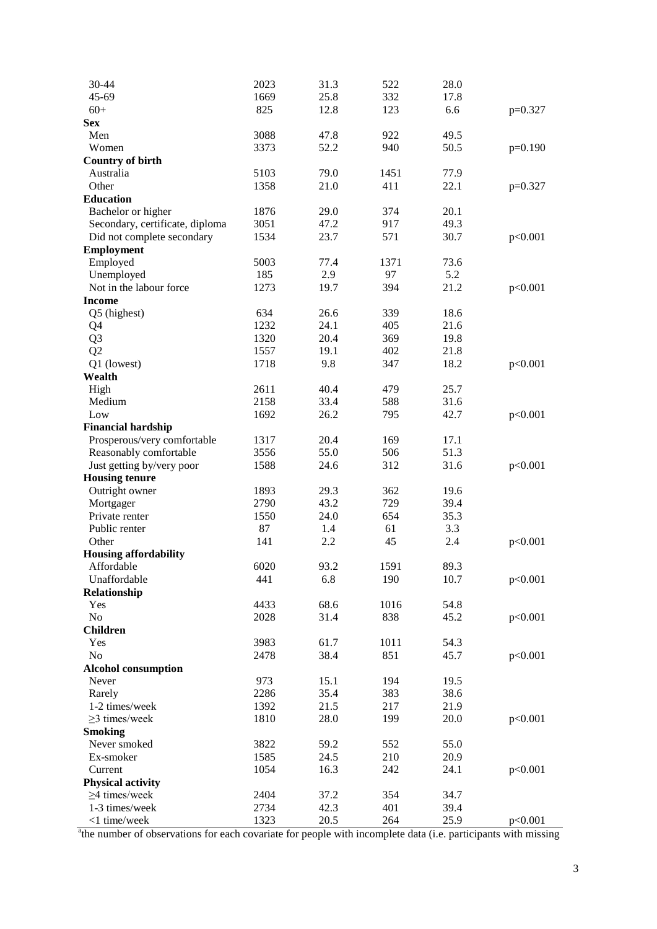| 30-44                                                                                                                      | 2023 | 31.3         | 522  | 28.0         |           |  |  |
|----------------------------------------------------------------------------------------------------------------------------|------|--------------|------|--------------|-----------|--|--|
| $45 - 69$                                                                                                                  | 1669 | 25.8         | 332  | 17.8         |           |  |  |
| $60+$                                                                                                                      | 825  | 12.8         | 123  | 6.6          | $p=0.327$ |  |  |
| <b>Sex</b>                                                                                                                 |      |              |      |              |           |  |  |
| Men                                                                                                                        | 3088 | 47.8         | 922  | 49.5         |           |  |  |
| Women                                                                                                                      | 3373 | 52.2         | 940  | 50.5         | $p=0.190$ |  |  |
| <b>Country of birth</b>                                                                                                    |      |              |      |              |           |  |  |
| Australia                                                                                                                  | 5103 | 79.0         | 1451 | 77.9         |           |  |  |
| Other                                                                                                                      | 1358 | 21.0         | 411  | 22.1         | $p=0.327$ |  |  |
| <b>Education</b>                                                                                                           |      |              |      |              |           |  |  |
| Bachelor or higher                                                                                                         | 1876 | 29.0         | 374  | 20.1         |           |  |  |
| Secondary, certificate, diploma                                                                                            | 3051 | 47.2         | 917  | 49.3         |           |  |  |
| Did not complete secondary                                                                                                 | 1534 | 23.7         | 571  | 30.7         | p<0.001   |  |  |
| <b>Employment</b>                                                                                                          |      |              |      |              |           |  |  |
| Employed                                                                                                                   | 5003 | 77.4         | 1371 | 73.6         |           |  |  |
| Unemployed                                                                                                                 | 185  | 2.9          | 97   | 5.2          |           |  |  |
| Not in the labour force                                                                                                    | 1273 | 19.7         | 394  | 21.2         | p<0.001   |  |  |
| <b>Income</b>                                                                                                              |      |              |      |              |           |  |  |
| Q5 (highest)                                                                                                               | 634  | 26.6         | 339  | 18.6         |           |  |  |
| Q4                                                                                                                         | 1232 | 24.1         | 405  | 21.6         |           |  |  |
| Q <sub>3</sub>                                                                                                             | 1320 | 20.4         | 369  | 19.8         |           |  |  |
| Q <sub>2</sub>                                                                                                             | 1557 | 19.1         | 402  | 21.8         |           |  |  |
| Q1 (lowest)                                                                                                                | 1718 | 9.8          | 347  | 18.2         | p<0.001   |  |  |
| Wealth                                                                                                                     |      |              |      |              |           |  |  |
| High<br>Medium                                                                                                             | 2611 | 40.4<br>33.4 | 479  | 25.7<br>31.6 |           |  |  |
|                                                                                                                            | 2158 |              | 588  | 42.7         |           |  |  |
| Low                                                                                                                        | 1692 | 26.2         | 795  |              | p<0.001   |  |  |
| <b>Financial hardship</b><br>Prosperous/very comfortable                                                                   | 1317 | 20.4         | 169  | 17.1         |           |  |  |
| Reasonably comfortable                                                                                                     | 3556 | 55.0         | 506  | 51.3         |           |  |  |
|                                                                                                                            | 1588 | 24.6         | 312  | 31.6         | p<0.001   |  |  |
| Just getting by/very poor<br><b>Housing tenure</b>                                                                         |      |              |      |              |           |  |  |
| Outright owner                                                                                                             | 1893 | 29.3         | 362  | 19.6         |           |  |  |
| Mortgager                                                                                                                  | 2790 | 43.2         | 729  | 39.4         |           |  |  |
| Private renter                                                                                                             | 1550 | 24.0         | 654  | 35.3         |           |  |  |
| Public renter                                                                                                              | 87   | 1.4          | 61   | 3.3          |           |  |  |
| Other                                                                                                                      | 141  | 2.2          | 45   | 2.4          | p<0.001   |  |  |
| <b>Housing affordability</b>                                                                                               |      |              |      |              |           |  |  |
| Affordable                                                                                                                 | 6020 | 93.2         | 1591 | 89.3         |           |  |  |
| Unaffordable                                                                                                               | 441  | 6.8          | 190  | 10.7         | p<0.001   |  |  |
| Relationship                                                                                                               |      |              |      |              |           |  |  |
| Yes                                                                                                                        | 4433 | 68.6         | 1016 | 54.8         |           |  |  |
| No                                                                                                                         | 2028 | 31.4         | 838  | 45.2         | p<0.001   |  |  |
| <b>Children</b>                                                                                                            |      |              |      |              |           |  |  |
| Yes                                                                                                                        | 3983 | 61.7         | 1011 | 54.3         |           |  |  |
| No                                                                                                                         | 2478 | 38.4         | 851  | 45.7         | p<0.001   |  |  |
| <b>Alcohol consumption</b>                                                                                                 |      |              |      |              |           |  |  |
| Never                                                                                                                      | 973  | 15.1         | 194  | 19.5         |           |  |  |
| Rarely                                                                                                                     | 2286 | 35.4         | 383  | 38.6         |           |  |  |
| 1-2 times/week                                                                                                             | 1392 | 21.5         | 217  | 21.9         |           |  |  |
| $\geq$ 3 times/week                                                                                                        | 1810 | 28.0         | 199  | 20.0         | p<0.001   |  |  |
| <b>Smoking</b>                                                                                                             |      |              |      |              |           |  |  |
| Never smoked                                                                                                               | 3822 | 59.2         | 552  | 55.0         |           |  |  |
| Ex-smoker                                                                                                                  | 1585 | 24.5         | 210  | 20.9         |           |  |  |
| Current                                                                                                                    | 1054 | 16.3         | 242  | 24.1         | p<0.001   |  |  |
| <b>Physical activity</b>                                                                                                   |      |              |      |              |           |  |  |
| $\geq$ 4 times/week                                                                                                        | 2404 | 37.2         | 354  | 34.7         |           |  |  |
| 1-3 times/week                                                                                                             | 2734 | 42.3         | 401  | 39.4         |           |  |  |
| <1 time/week                                                                                                               | 1323 | 20.5         | 264  | 25.9         | p<0.001   |  |  |
| <sup>a</sup> the number of observations for each covariate for people with incomplete data (i.e. participants with missing |      |              |      |              |           |  |  |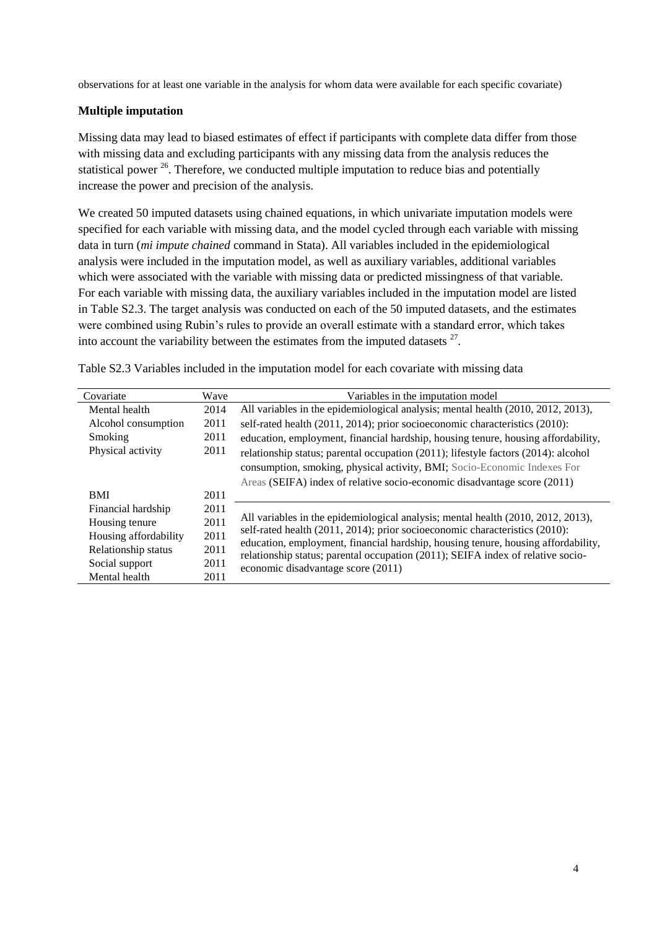observations for at least one variable in the analysis for whom data were available for each specific covariate)

### **Multiple imputation**

Missing data may lead to biased estimates of effect if participants with complete data differ from those with missing data and excluding participants with any missing data from the analysis reduces the statistical power  $^{26}$ . Therefore, we conducted multiple imputation to reduce bias and potentially increase the power and precision of the analysis.

We created 50 imputed datasets using chained equations, in which univariate imputation models were specified for each variable with missing data, and the model cycled through each variable with missing data in turn (*mi impute chained* command in Stata). All variables included in the epidemiological analysis were included in the imputation model, as well as auxiliary variables, additional variables which were associated with the variable with missing data or predicted missingness of that variable. For each variable with missing data, the auxiliary variables included in the imputation model are listed in Table S2.3. The target analysis was conducted on each of the 50 imputed datasets, and the estimates were combined using Rubin's rules to provide an overall estimate with a standard error, which takes into account the variability between the estimates from the imputed datasets  $27$ .

| Covariate             | Wave | Variables in the imputation model                                                                                                                                    |
|-----------------------|------|----------------------------------------------------------------------------------------------------------------------------------------------------------------------|
| Mental health         | 2014 | All variables in the epidemiological analysis; mental health (2010, 2012, 2013),                                                                                     |
| Alcohol consumption   | 2011 | self-rated health (2011, 2014); prior socioeconomic characteristics (2010):                                                                                          |
| <b>Smoking</b>        | 2011 | education, employment, financial hardship, housing tenure, housing affordability,                                                                                    |
| Physical activity     | 2011 | relationship status; parental occupation (2011); lifestyle factors (2014): alcohol                                                                                   |
|                       |      | consumption, smoking, physical activity, BMI; Socio-Economic Indexes For                                                                                             |
|                       |      | Areas (SEIFA) index of relative socio-economic disadvantage score (2011)                                                                                             |
| <b>BMI</b>            | 2011 |                                                                                                                                                                      |
| Financial hardship    | 2011 |                                                                                                                                                                      |
| Housing tenure        | 2011 | All variables in the epidemiological analysis; mental health (2010, 2012, 2013),                                                                                     |
| Housing affordability | 2011 | self-rated health (2011, 2014); prior socioeconomic characteristics (2010):                                                                                          |
| Relationship status   | 2011 | education, employment, financial hardship, housing tenure, housing affordability,<br>relationship status; parental occupation (2011); SEIFA index of relative socio- |
| Social support        | 2011 | economic disadvantage score (2011)                                                                                                                                   |
| Mental health         | 2011 |                                                                                                                                                                      |

Table S2.3 Variables included in the imputation model for each covariate with missing data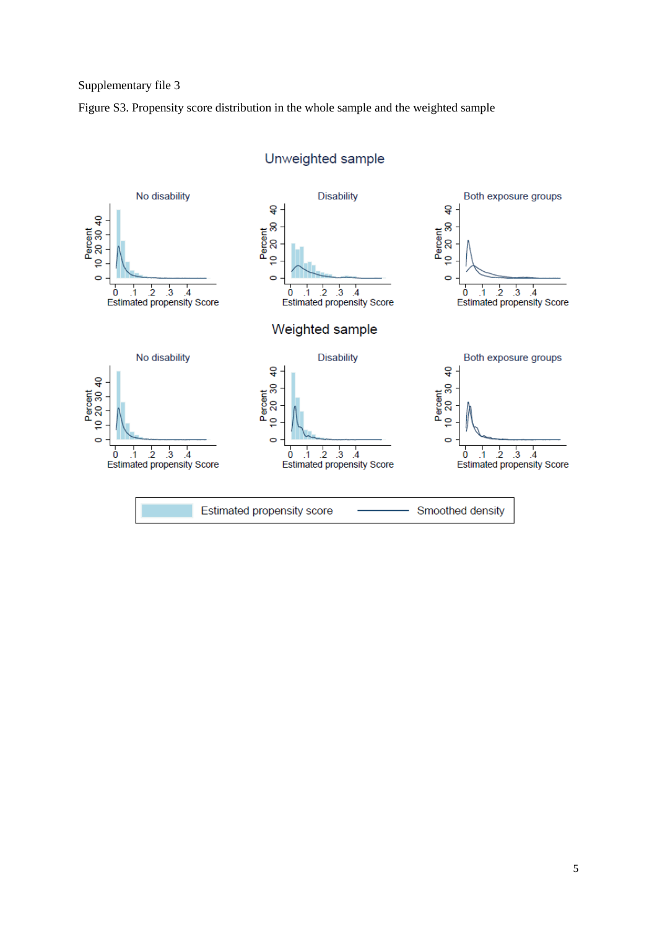## Supplementary file 3

Figure S3. Propensity score distribution in the whole sample and the weighted sample



Unweighted sample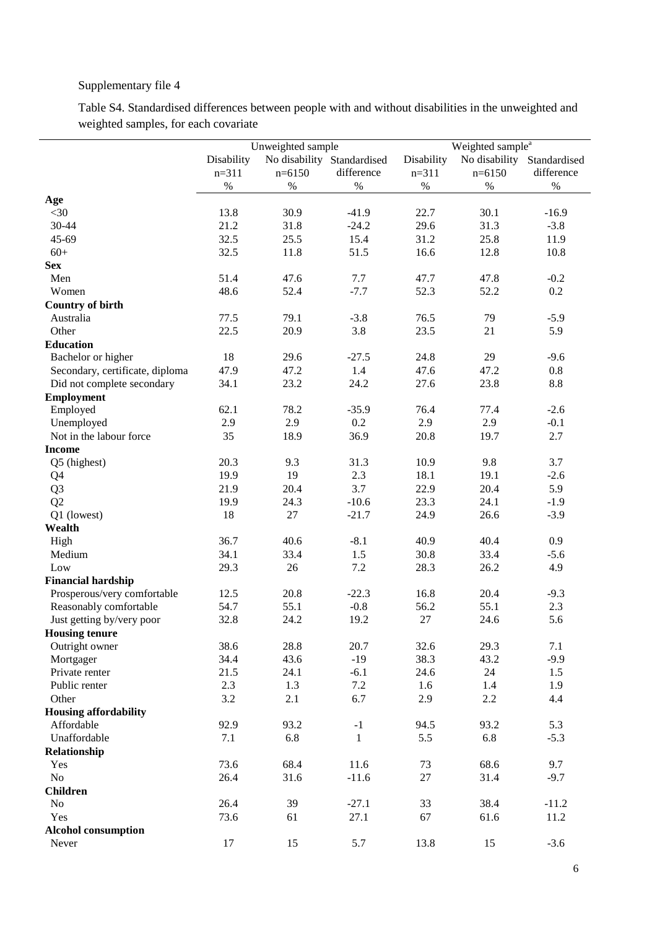# Supplementary file 4

Table S4. Standardised differences between people with and without disabilities in the unweighted and weighted samples, for each covariate

|                                      | Unweighted sample |              |                            | Weighted sample <sup>a</sup> |            |                            |  |
|--------------------------------------|-------------------|--------------|----------------------------|------------------------------|------------|----------------------------|--|
|                                      | Disability        |              | No disability Standardised | Disability                   |            | No disability Standardised |  |
|                                      | $n=311$           | $n=6150$     | difference                 | $n=311$                      | $n=6150$   | difference                 |  |
|                                      | $\%$              | $\%$         | $\%$                       | $\%$                         | $\%$       | $\%$                       |  |
|                                      |                   |              |                            |                              |            |                            |  |
| Age<br>$<$ 30                        | 13.8              | 30.9         | $-41.9$                    | 22.7                         | 30.1       | $-16.9$                    |  |
| 30-44                                | 21.2              | 31.8         | $-24.2$                    | 29.6                         | 31.3       | $-3.8$                     |  |
| 45-69                                | 32.5              | 25.5         | 15.4                       | 31.2                         | 25.8       | 11.9                       |  |
| $60+$                                | 32.5              | 11.8         | 51.5                       | 16.6                         | 12.8       | 10.8                       |  |
| <b>Sex</b>                           |                   |              |                            |                              |            |                            |  |
| Men                                  | 51.4              | 47.6         | 7.7                        | 47.7                         | 47.8       | $-0.2$                     |  |
| Women                                | 48.6              | 52.4         | $-7.7$                     | 52.3                         | 52.2       | 0.2                        |  |
|                                      |                   |              |                            |                              |            |                            |  |
| <b>Country of birth</b><br>Australia |                   | 79.1         | $-3.8$                     | 76.5                         |            | $-5.9$                     |  |
| Other                                | 77.5<br>22.5      | 20.9         | 3.8                        | 23.5                         | 79<br>21   | 5.9                        |  |
|                                      |                   |              |                            |                              |            |                            |  |
| <b>Education</b>                     | 18                |              |                            | 24.8                         |            |                            |  |
| Bachelor or higher                   | 47.9              | 29.6<br>47.2 | $-27.5$<br>1.4             | 47.6                         | 29<br>47.2 | $-9.6$                     |  |
| Secondary, certificate, diploma      |                   |              |                            |                              |            | $0.8\,$                    |  |
| Did not complete secondary           | 34.1              | 23.2         | 24.2                       | 27.6                         | 23.8       | $8.8\,$                    |  |
| <b>Employment</b>                    |                   |              |                            |                              |            |                            |  |
| Employed                             | 62.1              | 78.2         | $-35.9$                    | 76.4                         | 77.4       | $-2.6$                     |  |
| Unemployed                           | 2.9               | 2.9          | 0.2                        | 2.9                          | 2.9        | $-0.1$                     |  |
| Not in the labour force              | 35                | 18.9         | 36.9                       | 20.8                         | 19.7       | $2.7\,$                    |  |
| <b>Income</b>                        |                   |              |                            |                              |            |                            |  |
| Q5 (highest)                         | 20.3              | 9.3          | 31.3                       | 10.9                         | 9.8        | 3.7                        |  |
| Q <sub>4</sub>                       | 19.9              | 19           | 2.3                        | 18.1                         | 19.1       | $-2.6$                     |  |
| Q <sub>3</sub>                       | 21.9              | 20.4         | 3.7                        | 22.9                         | 20.4       | 5.9                        |  |
| Q <sub>2</sub>                       | 19.9              | 24.3         | $-10.6$                    | 23.3                         | 24.1       | $-1.9$                     |  |
| Q1 (lowest)                          | 18                | 27           | $-21.7$                    | 24.9                         | 26.6       | $-3.9$                     |  |
| Wealth                               |                   |              |                            |                              |            |                            |  |
| High                                 | 36.7              | 40.6         | $-8.1$                     | 40.9                         | 40.4       | 0.9                        |  |
| Medium                               | 34.1              | 33.4         | 1.5                        | 30.8                         | 33.4       | $-5.6$                     |  |
| Low                                  | 29.3              | 26           | 7.2                        | 28.3                         | 26.2       | 4.9                        |  |
| <b>Financial hardship</b>            |                   |              |                            |                              |            |                            |  |
| Prosperous/very comfortable          | 12.5              | 20.8         | $-22.3$                    | 16.8                         | 20.4       | $-9.3$                     |  |
| Reasonably comfortable               | 54.7              | 55.1         | $-0.8$                     | 56.2                         | 55.1       | 2.3                        |  |
| Just getting by/very poor            | 32.8              | 24.2         | 19.2                       | $27\,$                       | 24.6       | 5.6                        |  |
| <b>Housing tenure</b>                |                   |              |                            |                              |            |                            |  |
| Outright owner                       | 38.6              | 28.8         | 20.7                       | 32.6                         | 29.3       | 7.1                        |  |
| Mortgager                            | 34.4              | 43.6         | $-19$                      | 38.3                         | 43.2       | $-9.9$                     |  |
| Private renter                       | 21.5              | 24.1         | $-6.1$                     | 24.6                         | 24         | 1.5                        |  |
| Public renter                        | 2.3               | 1.3          | 7.2                        | 1.6                          | 1.4        | 1.9                        |  |
| Other                                | 3.2               | 2.1          | 6.7                        | 2.9                          | 2.2        | 4.4                        |  |
| <b>Housing affordability</b>         |                   |              |                            |                              |            |                            |  |
| Affordable                           | 92.9              | 93.2         | $-1$                       | 94.5                         | 93.2       | 5.3                        |  |
| Unaffordable                         | 7.1               | 6.8          | $\mathbf{1}$               | 5.5                          | 6.8        | $-5.3$                     |  |
| Relationship                         |                   |              |                            |                              |            |                            |  |
| Yes                                  | 73.6              | 68.4         | 11.6                       | 73                           | 68.6       | 9.7                        |  |
| N <sub>o</sub>                       | 26.4              | 31.6         | $-11.6$                    | 27                           | 31.4       | $-9.7$                     |  |
| <b>Children</b>                      |                   |              |                            |                              |            |                            |  |
| N <sub>o</sub>                       | 26.4              | 39           | $-27.1$                    | 33                           | 38.4       | $-11.2$                    |  |
| Yes                                  | 73.6              | 61           | 27.1                       | 67                           | 61.6       | 11.2                       |  |
| <b>Alcohol consumption</b>           |                   |              |                            |                              |            |                            |  |
| Never                                | 17                | 15           | 5.7                        | 13.8                         | 15         | $-3.6$                     |  |